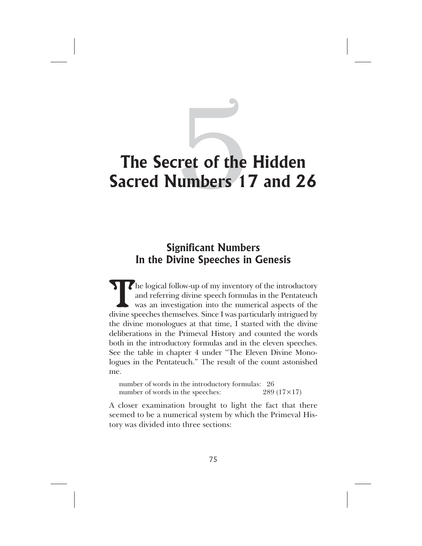# **Significant Numbers In the Divine Speeches in Genesis**

The logical follow-up of my inventory of the introductory and referring divine speech formulas in the Pentateuch was an investigation into the numerical aspects of the divine speeches themselves. Since I was particularly intrigued by the divine monologues at that time, I started with the divine deliberations in the Primeval History and counted the words both in the introductory formulas and in the eleven speeches. See the table in chapter 4 under "The Eleven Divine Monologues in the Pentateuch." The result of the count astonished me.

number of words in the introductory formulas: 26 number of words in the speeches:  $289 (17 \times 17)$ 

A closer examination brought to light the fact that there seemed to be a numerical system by which the Primeval History was divided into three sections: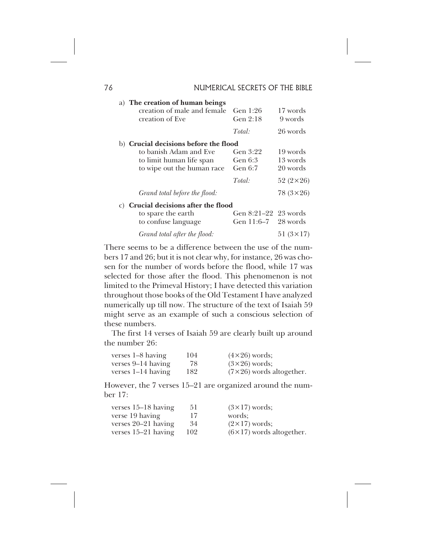| a) The creation of human beings<br>creation of male and female<br>creation of Eve | Gen 1:26<br>Gen 2:18                        | 17 words<br>9 words              |
|-----------------------------------------------------------------------------------|---------------------------------------------|----------------------------------|
|                                                                                   | Total:                                      | 26 words                         |
| b) Crucial decisions before the flood                                             |                                             |                                  |
| to banish Adam and Eve<br>to limit human life span<br>to wipe out the human race  | Gen 3:22<br>Gen 6:3<br>Gen 6:7              | 19 words<br>13 words<br>20 words |
|                                                                                   | Total:                                      | 52 $(2 \times 26)$               |
| Grand total before the flood:                                                     |                                             | 78 $(3 \times 26)$               |
| Crucial decisions after the flood<br>C)                                           |                                             |                                  |
| to spare the earth<br>to confuse language                                         | Gen 8:21-22 23 words<br>Gen 11:6–7 28 words |                                  |
| Grand total after the flood:                                                      |                                             | 51 $(3\times17)$                 |

There seems to be a difference between the use of the numbers 17 and 26; but it is not clear why, for instance, 26 was chosen for the number of words before the flood, while 17 was selected for those after the flood. This phenomenon is not limited to the Primeval History; I have detected this variation throughout those books of the Old Testament I have analyzed numerically up till now. The structure of the text of Isaiah 59 might serve as an example of such a conscious selection of these numbers.

The first 14 verses of Isaiah 59 are clearly built up around the number 26:

| verses $1-8$ having  | 104 | $(4\times26)$ words;            |
|----------------------|-----|---------------------------------|
| verses 9–14 having   | 78  | $(3\times26)$ words;            |
| verses $1-14$ having | 182 | $(7\times26)$ words altogether. |

However, the 7 verses 15–21 are organized around the number 17:

| verses 15–18 having   | 51  | $(3\times17)$ words;            |
|-----------------------|-----|---------------------------------|
| verse 19 having       | 17  | words:                          |
| verses $20-21$ having | 34  | $(2\times17)$ words;            |
| verses 15–21 having   | 102 | $(6\times17)$ words altogether. |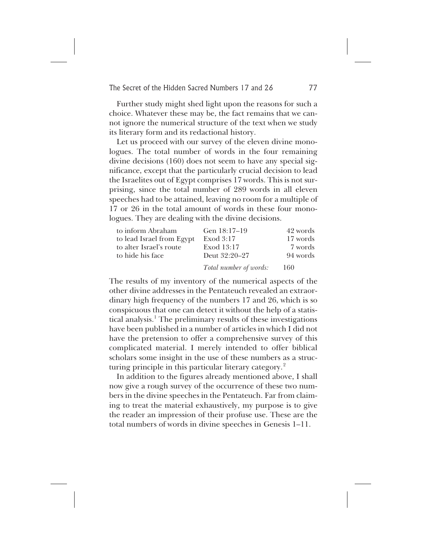Further study might shed light upon the reasons for such a choice. Whatever these may be, the fact remains that we cannot ignore the numerical structure of the text when we study its literary form and its redactional history.

Let us proceed with our survey of the eleven divine monologues. The total number of words in the four remaining divine decisions (160) does not seem to have any special significance, except that the particularly crucial decision to lead the Israelites out of Egypt comprises 17 words. This is not surprising, since the total number of 289 words in all eleven speeches had to be attained, leaving no room for a multiple of 17 or 26 in the total amount of words in these four monologues. They are dealing with the divine decisions.

| to inform Abraham         | Gen 18:17–19  | 42 words |
|---------------------------|---------------|----------|
| to lead Israel from Egypt | Exod 3:17     | 17 words |
| to alter Israel's route   | Exod 13:17    | 7 words  |
| to hide his face          | Deut 32:20-27 | 94 words |
|                           |               |          |

*Total number of words:* 160

The results of my inventory of the numerical aspects of the other divine addresses in the Pentateuch revealed an extraordinary high frequency of the numbers 17 and 26, which is so conspicuous that one can detect it without the help of a statistical analysis.<sup>1</sup> The preliminary results of these investigations have been published in a number of articles in which I did not have the pretension to offer a comprehensive survey of this complicated material. I merely intended to offer biblical scholars some insight in the use of these numbers as a structuring principle in this particular literary category.<sup>2</sup>

In addition to the figures already mentioned above, I shall now give a rough survey of the occurrence of these two numbers in the divine speeches in the Pentateuch. Far from claiming to treat the material exhaustively, my purpose is to give the reader an impression of their profuse use. These are the total numbers of words in divine speeches in Genesis 1–11.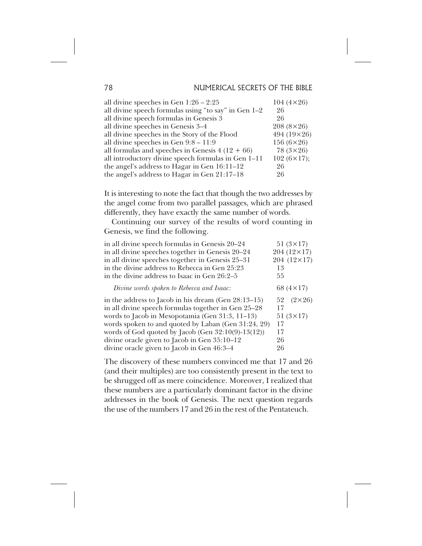| all divine speeches in Gen $1:26 - 2:25$             | $104 (4 \times 26)$  |
|------------------------------------------------------|----------------------|
| all divine speech formulas using "to say" in Gen 1-2 | 26                   |
| all divine speech formulas in Genesis 3              | 26                   |
| all divine speeches in Genesis 3–4                   | $208 (8 \times 26)$  |
| all divine speeches in the Story of the Flood        | 494 (19×26)          |
| all divine speeches in Gen $9:8-11:9$                | $156(6\times26)$     |
| all formulas and speeches in Genesis $4(12 + 66)$    | 78 $(3 \times 26)$   |
| all introductory divine speech formulas in Gen 1–11  | $102 (6 \times 17);$ |
| the angel's address to Hagar in Gen 16:11-12         | 26                   |
| the angel's address to Hagar in Gen 21:17-18         | 26                   |

It is interesting to note the fact that though the two addresses by the angel come from two parallel passages, which are phrased differently, they have exactly the same number of words.

Continuing our survey of the results of word counting in Genesis, we find the following.

| $51(3\times17)$                                           |
|-----------------------------------------------------------|
| $204(12\times17)$                                         |
| $204(12\times17)$                                         |
| 13                                                        |
| 55                                                        |
| 68 (4×17)                                                 |
| $(2\times 26)$<br>52                                      |
| 17                                                        |
| 51 $(3\times17)$                                          |
| words spoken to and quoted by Laban (Gen 31:24, 29)<br>17 |
| 17                                                        |
| 26                                                        |
| 26                                                        |
|                                                           |

The discovery of these numbers convinced me that 17 and 26 (and their multiples) are too consistently present in the text to be shrugged off as mere coincidence. Moreover, I realized that these numbers are a particularly dominant factor in the divine addresses in the book of Genesis. The next question regards the use of the numbers 17 and 26 in the rest of the Pentateuch.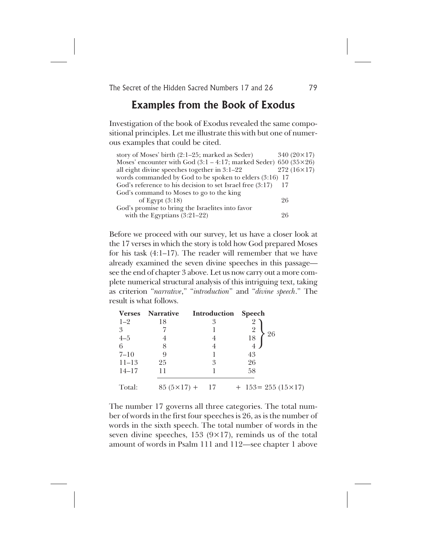### **Examples from the Book of Exodus**

Investigation of the book of Exodus revealed the same compositional principles. Let me illustrate this with but one of numerous examples that could be cited.

| story of Moses' birth (2:1–25; marked as Seder)                               | 340 $(20 \times 17)$ |
|-------------------------------------------------------------------------------|----------------------|
| Moses' encounter with God $(3:1 - 4:17)$ ; marked Seder) 650 $(35 \times 26)$ |                      |
| all eight divine speeches together in $3:1-22$                                | $272(16\times17)$    |
| words commanded by God to be spoken to elders (3:16) 17                       |                      |
| God's reference to his decision to set Israel free $(3.17)$ 17                |                      |
| God's command to Moses to go to the king                                      |                      |
| of Egypt $(3:18)$                                                             | 26                   |
| God's promise to bring the Israelites into favor                              |                      |
| with the Egyptians $(3:21-22)$                                                | 26                   |

Before we proceed with our survey, let us have a closer look at the 17 verses in which the story is told how God prepared Moses for his task (4:1–17). The reader will remember that we have already examined the seven divine speeches in this passage see the end of chapter 3 above. Let us now carry out a more complete numerical structural analysis of this intriguing text, taking as criterion "*narrative*," "*introduction*" and "*divine speech*." The result is what follows.

| <b>Verses</b> |                   | <b>Narrative Introduction</b> | <b>Speech</b>                                      |
|---------------|-------------------|-------------------------------|----------------------------------------------------|
| $1 - 2$       | 18                | 3                             |                                                    |
| 3             |                   |                               |                                                    |
| $4 - 5$       | 4                 | 4                             | $\begin{pmatrix} 2 \\ 18 \\ 4 \end{pmatrix}$<br>26 |
| 6             |                   | 4                             |                                                    |
| $7 - 10$      | 9                 |                               | 43                                                 |
| $11 - 13$     | 25                | 3                             | 26                                                 |
| $14 - 17$     | 11                |                               | 58                                                 |
| Total:        | $85(5\times17) +$ | <sup>17</sup>                 | $+$ 153= 255 (15×17)                               |

The number 17 governs all three categories. The total number of words in the first four speeches is 26, as is the number of words in the sixth speech. The total number of words in the seven divine speeches, 153 ( $9 \times 17$ ), reminds us of the total amount of words in Psalm 111 and 112—see chapter 1 above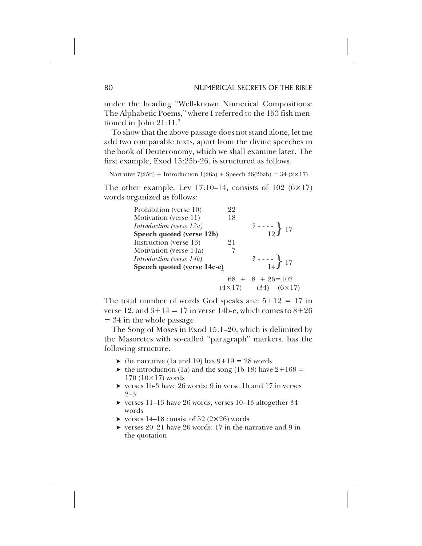under the heading "Well-known Numerical Compositions: The Alphabetic Poems," where I referred to the 153 fish mentioned in John  $21:11.^3$ 

To show that the above passage does not stand alone, let me add two comparable texts, apart from the divine speeches in the book of Deuteronomy, which we shall examine later. The first example, Exod 15:25b-26, is structured as follows.

Narrative  $7(25b)$  + Introduction  $1(26a)$  + Speech  $26(26ab) = 34 (2 \times 17)$ 

The other example, Lev 17:10–14, consists of 102  $(6\times17)$ words organized as follows:

| Prohibition (verse 10)      | 22 |                                        |
|-----------------------------|----|----------------------------------------|
| Motivation (verse 11)       | 18 |                                        |
| Introduction (verse 12a)    |    | $\left\{\frac{5}{12}\right\}$ 17       |
| Speech quoted (verse 12b)   |    |                                        |
| Instruction (verse 13)      | 21 |                                        |
| Motivation (verse 14a)      |    |                                        |
| Introduction (verse 14b)    |    | $\left\{\frac{3}{14}\right\}$ 17       |
| Speech quoted (verse 14c-e) |    |                                        |
|                             |    | $68 + 8 + 26 = 102$                    |
|                             |    | $(4 \times 17)$ $(34)$ $(6 \times 17)$ |

The total number of words God speaks are:  $5+12 = 17$  in verse 12, and  $3+14 = 17$  in verse 14b-e, which comes to  $8+26$  $= 34$  in the whole passage.

The Song of Moses in Exod 15:1–20, which is delimited by the Masoretes with so-called "paragraph" markers, has the following structure.

- $\blacktriangleright$  the narrative (1a and 19) has  $9+19 = 28$  words
- $\blacktriangleright$  the introduction (1a) and the song (1b-18) have 2+168 =  $170 (10 \times 17)$  words
- verses 1b-3 have 26 words: 9 in verse 1b and 17 in verses 2–3
- verses 11–13 have 26 words, verses 10–13 altogether 34 words
- riangleright verses 14–18 consist of 52 (2×26) words
- $\blacktriangleright$  verses 20–21 have 26 words: 17 in the narrative and 9 in the quotation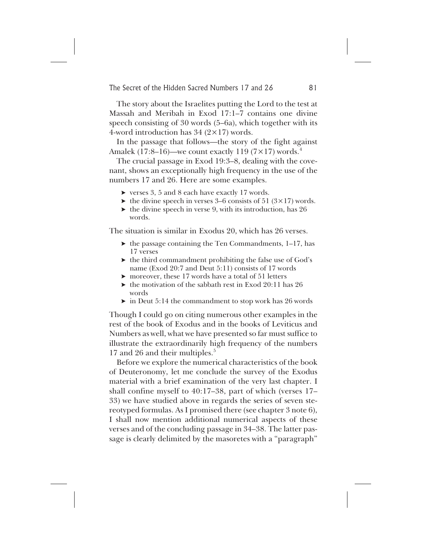The story about the Israelites putting the Lord to the test at Massah and Meribah in Exod 17:1–7 contains one divine speech consisting of 30 words (5–6a), which together with its 4-word introduction has 34 (2×17) words.

In the passage that follows—the story of the fight against Amalek (17:8–16)—we count exactly 119 (7×17) words.<sup>4</sup>

The crucial passage in Exod 19:3–8, dealing with the covenant, shows an exceptionally high frequency in the use of the numbers 17 and 26. Here are some examples.

- rerses 3, 5 and 8 each have exactly 17 words.
- $\blacktriangleright$  the divine speech in verses 3–6 consists of 51 (3×17) words.
- $\blacktriangleright$  the divine speech in verse 9, with its introduction, has 26 words.

The situation is similar in Exodus 20, which has 26 verses.

- $\blacktriangleright$  the passage containing the Ten Commandments, 1–17, has 17 verses
- $\triangleright$  the third commandment prohibiting the false use of God's name (Exod 20:7 and Deut 5:11) consists of 17 words
- ▶ moreover, these 17 words have a total of 51 letters
- $\blacktriangleright$  the motivation of the sabbath rest in Exod 20:11 has 26 words
- $\triangleright$  in Deut 5:14 the commandment to stop work has 26 words

Though I could go on citing numerous other examples in the rest of the book of Exodus and in the books of Leviticus and Numbers as well, what we have presented so far must suffice to illustrate the extraordinarily high frequency of the numbers 17 and 26 and their multiples.<sup>5</sup>

Before we explore the numerical characteristics of the book of Deuteronomy, let me conclude the survey of the Exodus material with a brief examination of the very last chapter. I shall confine myself to 40:17–38, part of which (verses 17– 33) we have studied above in regards the series of seven stereotyped formulas. As I promised there (see chapter 3 note 6), I shall now mention additional numerical aspects of these verses and of the concluding passage in 34–38. The latter passage is clearly delimited by the masoretes with a "paragraph"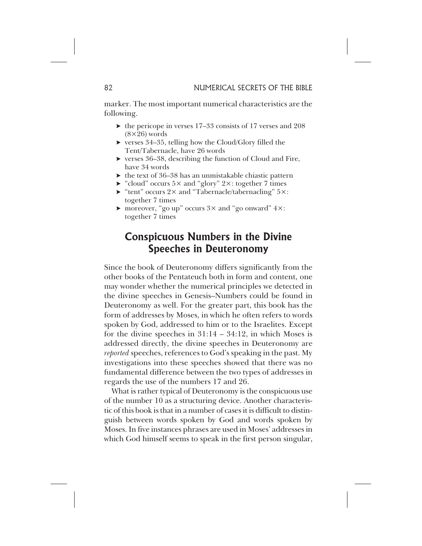marker. The most important numerical characteristics are the following.

- $\blacktriangleright$  the pericope in verses 17–33 consists of 17 verses and 208  $(8\times26)$  words
- $\blacktriangleright$  verses 34–35, telling how the Cloud/Glory filled the Tent/Tabernacle, have 26 words
- $\blacktriangleright$  verses 36–38, describing the function of Cloud and Fire, have 34 words
- $\blacktriangleright$  the text of 36–38 has an unmistakable chiastic pattern
- "cloud" occurs  $5\times$  and "glory"  $2\times$ : together 7 times
- "tent" occurs 2× and "Tabernacle/tabernacling" 5×: together 7 times
- $\blacktriangleright$  moreover, "go up" occurs  $3 \times$  and "go onward"  $4 \times$ : together 7 times

## **Conspicuous Numbers in the Divine Speeches in Deuteronomy**

Since the book of Deuteronomy differs significantly from the other books of the Pentateuch both in form and content, one may wonder whether the numerical principles we detected in the divine speeches in Genesis–Numbers could be found in Deuteronomy as well. For the greater part, this book has the form of addresses by Moses, in which he often refers to words spoken by God, addressed to him or to the Israelites. Except for the divine speeches in 31:14 – 34:12, in which Moses is addressed directly, the divine speeches in Deuteronomy are *reported* speeches, references to God's speaking in the past. My investigations into these speeches showed that there was no fundamental difference between the two types of addresses in regards the use of the numbers 17 and 26.

What is rather typical of Deuteronomy is the conspicuous use of the number 10 as a structuring device. Another characteristic of this book is that in a number of cases it is difficult to distinguish between words spoken by God and words spoken by Moses. In five instances phrases are used in Moses' addresses in which God himself seems to speak in the first person singular,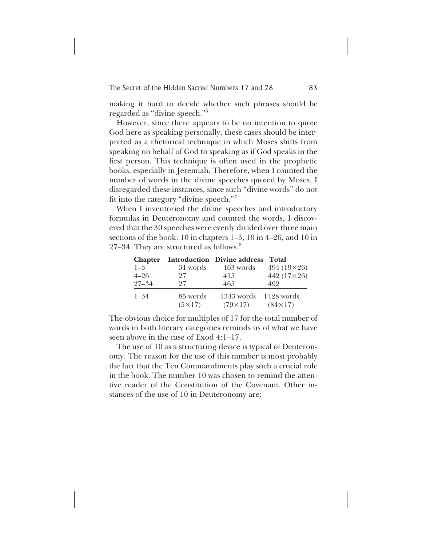making it hard to decide whether such phrases should be regarded as "divine speech."6

However, since there appears to be no intention to quote God here as speaking personally, these cases should be interpreted as a rhetorical technique in which Moses shifts from speaking on behalf of God to speaking as if God speaks in the first person. This technique is often used in the prophetic books, especially in Jeremiah. Therefore, when I counted the number of words in the divine speeches quoted by Moses, I disregarded these instances, since such "divine words" do not fit into the category "divine speech."<sup>7</sup>

When I inventoried the divine speeches and introductory formulas in Deuteronomy and counted the words, I discovered that the 30 speeches were evenly divided over three main sections of the book: 10 in chapters 1–3, 10 in 4–26, and 10 in 27–34. They are structured as follows.<sup>8</sup>

|           |               | Chapter Introduction Divine address Total |                      |
|-----------|---------------|-------------------------------------------|----------------------|
| $1 - 3$   | 31 words      | 463 words                                 | 494 $(19\times26)$   |
| $4 - 26$  | 27            | 415                                       | 442 $(17 \times 26)$ |
| $27 - 34$ | 97            | 465                                       | 492                  |
| $1 - 34$  | 85 words      | $1343$ words $1428$ words                 |                      |
|           | $(5\times17)$ | $(79\times17)$                            | $(84 \times 17)$     |

The obvious choice for multiples of 17 for the total number of words in both literary categories reminds us of what we have seen above in the case of Exod 4:1–17.

The use of 10 as a structuring device is typical of Deuteronomy. The reason for the use of this number is most probably the fact that the Ten Commandments play such a crucial role in the book. The number 10 was chosen to remind the attentive reader of the Constitution of the Covenant. Other instances of the use of 10 in Deuteronomy are: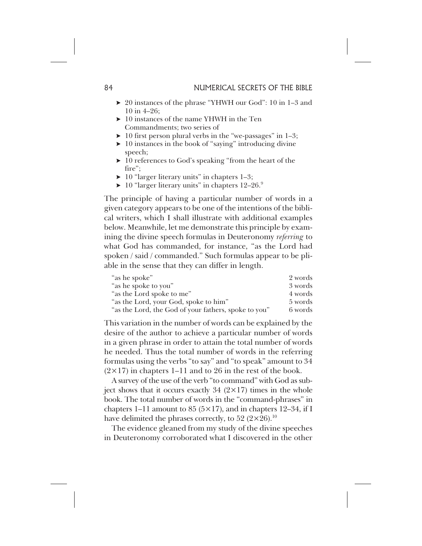- 20 instances of the phrase "YHWH our God": 10 in 1–3 and 10 in 4–26;
- ▶ 10 instances of the name YHWH in the Ten Commandments; two series of
- $\triangleright$  10 first person plural verbs in the "we-passages" in 1–3;
- ▶ 10 instances in the book of "saying" introducing divine speech;
- ▶ 10 references to God's speaking "from the heart of the fire";
- $\blacktriangleright$  10 "larger literary units" in chapters 1–3;
- $\blacktriangleright$  10 "larger literary units" in chapters 12–26.<sup>9</sup>

The principle of having a particular number of words in a given category appears to be one of the intentions of the biblical writers, which I shall illustrate with additional examples below. Meanwhile, let me demonstrate this principle by examining the divine speech formulas in Deuteronomy *referring* to what God has commanded, for instance, "as the Lord had spoken / said / commanded." Such formulas appear to be pliable in the sense that they can differ in length.

| "as he spoke"                                        | 2 words |
|------------------------------------------------------|---------|
| "as he spoke to you"                                 | 3 words |
| "as the Lord spoke to me"                            | 4 words |
| "as the Lord, your God, spoke to him"                | 5 words |
| "as the Lord, the God of your fathers, spoke to you" | 6 words |

This variation in the number of words can be explained by the desire of the author to achieve a particular number of words in a given phrase in order to attain the total number of words he needed. Thus the total number of words in the referring formulas using the verbs "to say" and "to speak" amount to 34  $(2 \times 17)$  in chapters 1–11 and to 26 in the rest of the book.

A survey of the use of the verb "to command" with God as subject shows that it occurs exactly 34  $(2\times17)$  times in the whole book. The total number of words in the "command-phrases" in chapters 1–11 amount to 85 ( $5 \times 17$ ), and in chapters 12–34, if I have delimited the phrases correctly, to 52 ( $2 \times 26$ ).<sup>10</sup>

The evidence gleaned from my study of the divine speeches in Deuteronomy corroborated what I discovered in the other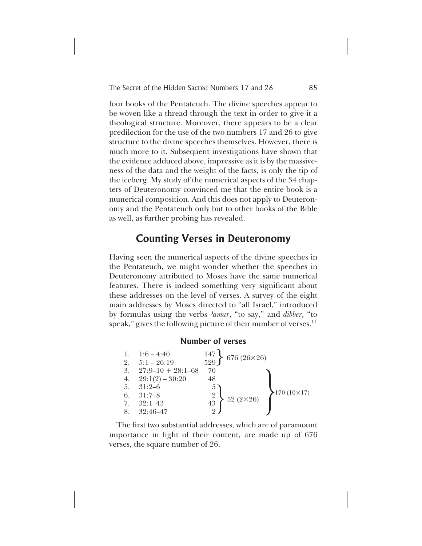four books of the Pentateuch. The divine speeches appear to be woven like a thread through the text in order to give it a theological structure. Moreover, there appears to be a clear predilection for the use of the two numbers 17 and 26 to give structure to the divine speeches themselves. However, there is much more to it. Subsequent investigations have shown that the evidence adduced above, impressive as it is by the massiveness of the data and the weight of the facts, is only the tip of the iceberg. My study of the numerical aspects of the 34 chapters of Deuteronomy convinced me that the entire book is a numerical composition. And this does not apply to Deuteronomy and the Pentateuch only but to other books of the Bible as well, as further probing has revealed.

### **Counting Verses in Deuteronomy**

Having seen the numerical aspects of the divine speeches in the Pentateuch, we might wonder whether the speeches in Deuteronomy attributed to Moses have the same numerical features. There is indeed something very significant about these addresses on the level of verses. A survey of the eight main addresses by Moses directed to "all Israel," introduced by formulas using the verbs *aamar*, "to say," and *dibber*, "to speak," gives the following picture of their number of verses.<sup>11</sup>

### **Number of verses**

|    | $1:6 - 4:40$        | $\frac{147}{529}$<br>676 $(26 \times 26)$ |                                   |
|----|---------------------|-------------------------------------------|-----------------------------------|
| 2. | $5:1 - 26:19$       |                                           |                                   |
| 3. | $27:9-10 + 28:1-68$ | 70                                        |                                   |
| 4. | $29:1(2) - 30:20$   | 48                                        |                                   |
| 5. | $31:2-6$            | b                                         |                                   |
| 6. | $31:7-8$            | 52 $(2 \times 26)$                        | $\blacktriangleright$ 170 (10×17) |
| 7. | $32:1-43$           | 43                                        |                                   |
| 8. | $32:46 - 47$        |                                           |                                   |

The first two substantial addresses, which are of paramount importance in light of their content, are made up of 676 verses, the square number of 26.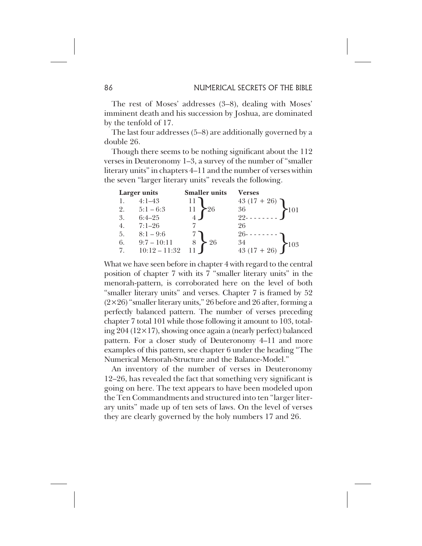The rest of Moses' addresses (3–8), dealing with Moses' imminent death and his succession by Joshua, are dominated by the tenfold of 17.

The last four addresses (5–8) are additionally governed by a double 26.

Though there seems to be nothing significant about the 112 verses in Deuteronomy 1–3, a survey of the number of "smaller literary units" in chapters 4–11 and the number of verses within the seven "larger literary units" reveals the following.

|    | <b>Larger</b> units | <b>Smaller units</b> | <b>Verses</b>          |
|----|---------------------|----------------------|------------------------|
|    | $4:1 - 43$          |                      | $\frac{43(17+26)}{36}$ |
| 2. | $5:1-6:3$           |                      |                        |
| 3. | $6:4 - 25$          |                      | $22 -$                 |
| 4. | $7:1 - 26$          |                      | 26                     |
| 5. | $8:1 - 9:6$         |                      | 26                     |
| 6. | $9:7 - 10:11$       | 26                   |                        |
|    | $10:12 - 11:32$     |                      | $34$<br>43 (17 + 26)   |
|    |                     |                      |                        |

What we have seen before in chapter 4 with regard to the central position of chapter 7 with its 7 "smaller literary units" in the menorah-pattern, is corroborated here on the level of both "smaller literary units" and verses. Chapter 7 is framed by 52  $(2\times26)$  "smaller literary units," 26 before and 26 after, forming a perfectly balanced pattern. The number of verses preceding chapter 7 total 101 while those following it amount to 103, totaling 204 (12×17), showing once again a (nearly perfect) balanced pattern. For a closer study of Deuteronomy 4–11 and more examples of this pattern, see chapter 6 under the heading "The Numerical Menorah-Structure and the Balance-Model."

An inventory of the number of verses in Deuteronomy 12–26, has revealed the fact that something very significant is going on here. The text appears to have been modeled upon the Ten Commandments and structured into ten "larger literary units" made up of ten sets of laws. On the level of verses they are clearly governed by the holy numbers 17 and 26.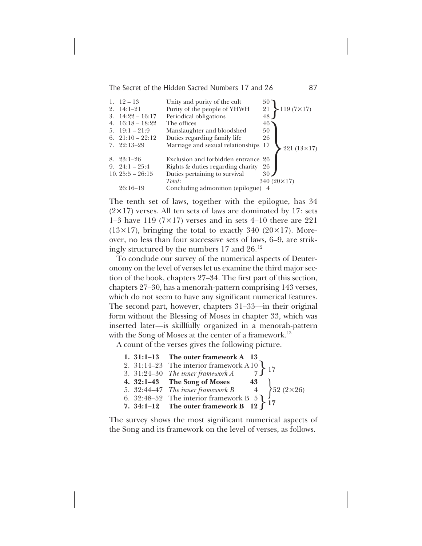|    | 1. $12 - 13$       | Unity and purity of the cult         | 50             |                   |
|----|--------------------|--------------------------------------|----------------|-------------------|
| 2. | $14:1 - 21$        | Purity of the people of YHWH         | 21             | $>$ 119 (7×17)    |
| 3. | $14:22 - 16:17$    | Periodical obligations               | 48             |                   |
| 4. | $16:18 - 18:22$    | The offices                          | 46             |                   |
| 5. | $19:1 - 21:9$      | Manslaughter and bloodshed           | 50             |                   |
|    | 6. $21:10 - 22:12$ | Duties regarding family life         | 26             |                   |
|    | $7. \ \ 22:13-29$  | Marriage and sexual relationships 17 |                | $221(13\times17)$ |
|    | $8. \ \ 23:1-26$   | Exclusion and forbidden entrance 26  |                |                   |
|    | 9. $24:1 - 25:4$   | Rights & duties regarding charity    | 26             |                   |
|    | $10.25:5 - 26:15$  | Duties pertaining to survival        | 30             |                   |
|    |                    | Total:                               |                | $340(20\times17)$ |
|    | $26:16 - 19$       | Concluding admonition (epilogue)     | $\overline{4}$ |                   |

The tenth set of laws, together with the epilogue, has 34  $(2\times17)$  verses. All ten sets of laws are dominated by 17: sets 1–3 have 119 ( $7 \times 17$ ) verses and in sets 4–10 there are 221  $(13\times17)$ , bringing the total to exactly 340 (20×17). Moreover, no less than four successive sets of laws, 6–9, are strikingly structured by the numbers 17 and 26.<sup>12</sup>

To conclude our survey of the numerical aspects of Deuteronomy on the level of verses let us examine the third major section of the book, chapters 27–34. The first part of this section, chapters 27–30, has a menorah-pattern comprising 143 verses, which do not seem to have any significant numerical features. The second part, however, chapters 31–33—in their original form without the Blessing of Moses in chapter 33, which was inserted later—is skillfully organized in a menorah-pattern with the Song of Moses at the center of a framework.<sup>13</sup>

A count of the verses gives the following picture.

|  | 1. 31:1-13 The outer framework A 13                                                                                      |
|--|--------------------------------------------------------------------------------------------------------------------------|
|  | 2. 31:14–23 The interior framework A 10 }<br>3. 31:94–30 The inner framework A $\begin{bmatrix} 7 \\ 7 \end{bmatrix}$ 17 |
|  | 3. 31:24-30 The inner framework A                                                                                        |
|  | 4. 32:1-43 The Song of Moses 43                                                                                          |
|  | 5. 32:44–47 The inner framework B $4 \{52 (2 \times 26)$                                                                 |
|  |                                                                                                                          |
|  | 6. 32:48–52 The interior framework B $5 \}$ 17<br>7. 34:1–12 The outer framework B 12 } 17                               |

The survey shows the most significant numerical aspects of the Song and its framework on the level of verses, as follows.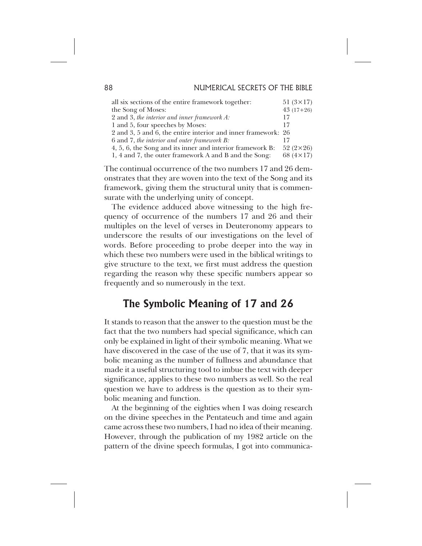| $43(17+26)$<br>the Song of Moses:                                               |  |
|---------------------------------------------------------------------------------|--|
|                                                                                 |  |
| 2 and 3, the interior and inner framework A:<br>17                              |  |
| 1 and 5, four speeches by Moses:<br>17                                          |  |
| 2 and 3, 5 and 6, the entire interior and inner framework: 26                   |  |
| 6 and 7, the interior and outer framework B:                                    |  |
| 52 $(2 \times 26)$<br>4, 5, 6, the Song and its inner and interior framework B: |  |
| 68 $(4 \times 17)$<br>1, 4 and 7, the outer framework A and B and the Song:     |  |

The continual occurrence of the two numbers 17 and 26 demonstrates that they are woven into the text of the Song and its framework, giving them the structural unity that is commensurate with the underlying unity of concept.

The evidence adduced above witnessing to the high frequency of occurrence of the numbers 17 and 26 and their multiples on the level of verses in Deuteronomy appears to underscore the results of our investigations on the level of words. Before proceeding to probe deeper into the way in which these two numbers were used in the biblical writings to give structure to the text, we first must address the question regarding the reason why these specific numbers appear so frequently and so numerously in the text.

### **The Symbolic Meaning of 17 and 26**

It stands to reason that the answer to the question must be the fact that the two numbers had special significance, which can only be explained in light of their symbolic meaning. What we have discovered in the case of the use of 7, that it was its symbolic meaning as the number of fullness and abundance that made it a useful structuring tool to imbue the text with deeper significance, applies to these two numbers as well. So the real question we have to address is the question as to their symbolic meaning and function.

At the beginning of the eighties when I was doing research on the divine speeches in the Pentateuch and time and again came across these two numbers, I had no idea of their meaning. However, through the publication of my 1982 article on the pattern of the divine speech formulas, I got into communica-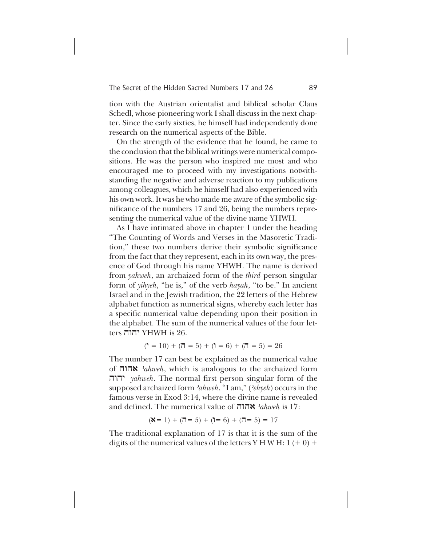tion with the Austrian orientalist and biblical scholar Claus Schedl, whose pioneering work I shall discuss in the next chapter. Since the early sixties, he himself had independently done research on the numerical aspects of the Bible.

On the strength of the evidence that he found, he came to the conclusion that the biblical writings were numerical compositions. He was the person who inspired me most and who encouraged me to proceed with my investigations notwithstanding the negative and adverse reaction to my publications among colleagues, which he himself had also experienced with his own work. It was he who made me aware of the symbolic significance of the numbers 17 and 26, being the numbers representing the numerical value of the divine name YHWH.

As I have intimated above in chapter 1 under the heading "The Counting of Words and Verses in the Masoretic Tradition," these two numbers derive their symbolic significance from the fact that they represent, each in its own way, the presence of God through his name YHWH. The name is derived from *yahweh*, an archaized form of the *third* person singular form of *yihyeh*, "he is," of the verb *hayah*, "to be." In ancient Israel and in the Jewish tradition, the 22 letters of the Hebrew alphabet function as numerical signs, whereby each letter has a specific numerical value depending upon their position in the alphabet. The sum of the numerical values of the four letters **HVHY** YHWH is 26.

$$
(\mathbf{1} = 10) + (\mathbf{1} = 5) + (\mathbf{1} = 6) + (\mathbf{1} = 5) = 26
$$

The number 17 can best be explained as the numerical value of **HVH@** *aahweh*, which is analogous to the archaized form **HVHY** *yahweh*. The normal first person singular form of the supposed archaized form *'ahweh*, "I am," (*'ehyeh*) occurs in the famous verse in Exod 3:14, where the divine name is revealed and defined. The numerical value of **HVH@** *aahweh* is 17:

$$
(\mathbf{N} = 1) + (\mathbf{N} = 5) + (\mathbf{N} = 6) + (\mathbf{N} = 5) = 17
$$

The traditional explanation of 17 is that it is the sum of the digits of the numerical values of the letters Y H W H:  $1 (+ 0) +$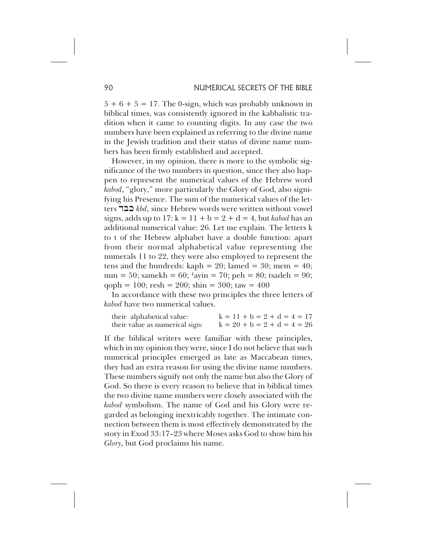$5 + 6 + 5 = 17$ . The 0-sign, which was probably unknown in biblical times, was consistently ignored in the kabbalistic tradition when it came to counting digits. In any case the two numbers have been explained as referring to the divine name in the Jewish tradition and their status of divine name numbers has been firmly established and accepted.

However, in my opinion, there is more to the symbolic significance of the two numbers in question, since they also happen to represent the numerical values of the Hebrew word *kabod*, "glory," more particularly the Glory of God, also signifying his Presence. The sum of the numerical values of the letters **DA** *kbd*, since Hebrew words were written without vowel signs, adds up to  $17: k = 11 + b = 2 + d = 4$ , but *kabod* has an additional numerical value: 26. Let me explain. The letters k to t of the Hebrew alphabet have a double function: apart from their normal alphabetical value representing the numerals 11 to 22, they were also employed to represent the tens and the hundreds: kaph =  $20$ ; lamed =  $30$ ; mem =  $40$ ; nun = 50; samekh = 60;  $\langle \text{ayin} = 70; \text{peh} = 80; \text{tsadeh} = 90;$ qoph = 100; resh = 200; shin = 300; taw = 400

In accordance with these two principles the three letters of *kabod* have two numerical values.

| their alphabetical value:      | $k = 11 + b = 2 + d = 4 = 17$ |
|--------------------------------|-------------------------------|
| their value as numerical sign: | $k = 20 + b = 2 + d = 4 = 26$ |

If the biblical writers were familiar with these principles, which in my opinion they were, since I do not believe that such numerical principles emerged as late as Maccabean times, they had an extra reason for using the divine name numbers. These numbers signify not only the name but also the Glory of God. So there is every reason to believe that in biblical times the two divine name numbers were closely associated with the *kabod* symbolism. The name of God and his Glory were regarded as belonging inextricably together. The intimate connection between them is most effectively demonstrated by the story in Exod 33:17–23 where Moses asks God to show him his *Glory*, but God proclaims his name.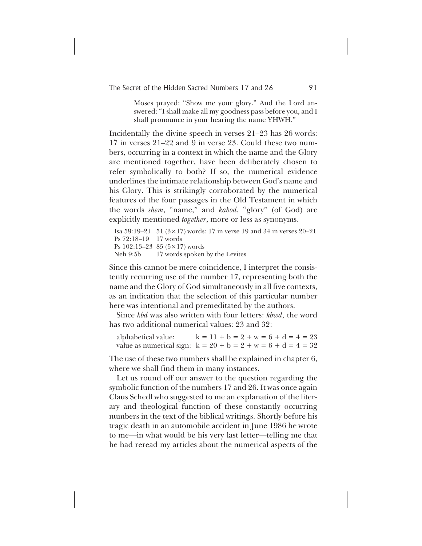Moses prayed: "Show me your glory." And the Lord answered: "I shall make all my goodness pass before you, and I shall pronounce in your hearing the name YHWH."

Incidentally the divine speech in verses 21–23 has 26 words: 17 in verses 21–22 and 9 in verse 23. Could these two numbers, occurring in a context in which the name and the Glory are mentioned together, have been deliberately chosen to refer symbolically to both? If so, the numerical evidence underlines the intimate relationship between God's name and his Glory. This is strikingly corroborated by the numerical features of the four passages in the Old Testament in which the words *shem*, "name," and *kabod*, "glory" (of God) are explicitly mentioned *together*, more or less as synonyms.

Isa 59:19–21 51 (3×17) words: 17 in verse 19 and 34 in verses 20–21 Ps 72:18–19 17 words Ps 102:13–23 85 (5×17) words Neh 9:5b 17 words spoken by the Levites

Since this cannot be mere coincidence, I interpret the consistently recurring use of the number 17, representing both the name and the Glory of God simultaneously in all five contexts, as an indication that the selection of this particular number here was intentional and premeditated by the authors.

Since *kbd* was also written with four letters: *kbwd*, the word has two additional numerical values: 23 and 32:

alphabetical value:  $k = 11 + b = 2 + w = 6 + d = 4 = 23$ value as numerical sign:  $k = 20 + b = 2 + w = 6 + d = 4 = 32$ 

The use of these two numbers shall be explained in chapter 6, where we shall find them in many instances.

Let us round off our answer to the question regarding the symbolic function of the numbers 17 and 26. It was once again Claus Schedl who suggested to me an explanation of the literary and theological function of these constantly occurring numbers in the text of the biblical writings. Shortly before his tragic death in an automobile accident in June 1986 he wrote to me—in what would be his very last letter—telling me that he had reread my articles about the numerical aspects of the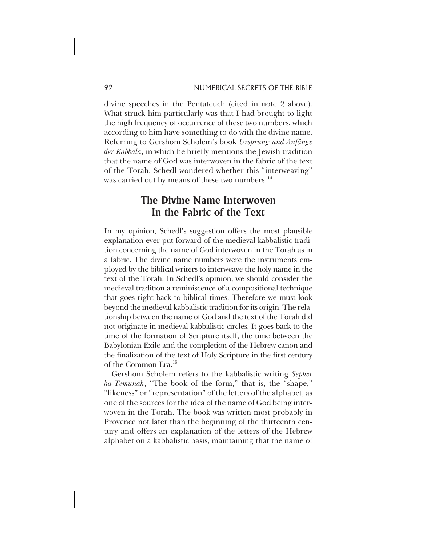divine speeches in the Pentateuch (cited in note 2 above). What struck him particularly was that I had brought to light the high frequency of occurrence of these two numbers, which according to him have something to do with the divine name. Referring to Gershom Scholem's book *Ursprung und Anfänge der Kabbala*, in which he briefly mentions the Jewish tradition that the name of God was interwoven in the fabric of the text of the Torah, Schedl wondered whether this "interweaving" was carried out by means of these two numbers.<sup>14</sup>

### **The Divine Name Interwoven In the Fabric of the Text**

In my opinion, Schedl's suggestion offers the most plausible explanation ever put forward of the medieval kabbalistic tradition concerning the name of God interwoven in the Torah as in a fabric. The divine name numbers were the instruments employed by the biblical writers to interweave the holy name in the text of the Torah. In Schedl's opinion, we should consider the medieval tradition a reminiscence of a compositional technique that goes right back to biblical times. Therefore we must look beyond the medieval kabbalistic tradition for its origin. The relationship between the name of God and the text of the Torah did not originate in medieval kabbalistic circles. It goes back to the time of the formation of Scripture itself, the time between the Babylonian Exile and the completion of the Hebrew canon and the finalization of the text of Holy Scripture in the first century of the Common Era.15

Gershom Scholem refers to the kabbalistic writing *Sepher ha-Temunah*, "The book of the form," that is, the "shape," "likeness" or "representation" of the letters of the alphabet, as one of the sources for the idea of the name of God being interwoven in the Torah. The book was written most probably in Provence not later than the beginning of the thirteenth century and offers an explanation of the letters of the Hebrew alphabet on a kabbalistic basis, maintaining that the name of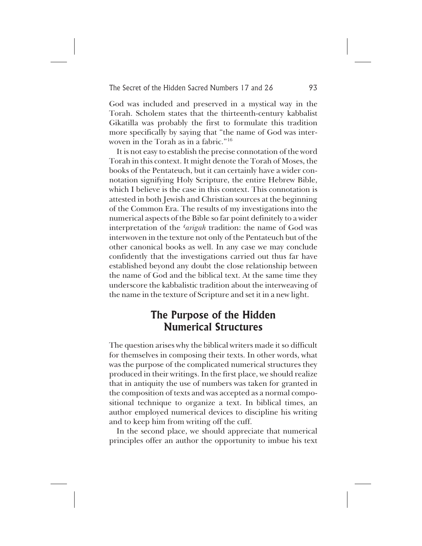God was included and preserved in a mystical way in the Torah. Scholem states that the thirteenth-century kabbalist Gikatilla was probably the first to formulate this tradition more specifically by saying that "the name of God was interwoven in the Torah as in a fabric."<sup>16</sup>

It is not easy to establish the precise connotation of the word Torah in this context. It might denote the Torah of Moses, the books of the Pentateuch, but it can certainly have a wider connotation signifying Holy Scripture, the entire Hebrew Bible, which I believe is the case in this context. This connotation is attested in both Jewish and Christian sources at the beginning of the Common Era. The results of my investigations into the numerical aspects of the Bible so far point definitely to a wider interpretation of the *barigah* tradition: the name of God was interwoven in the texture not only of the Pentateuch but of the other canonical books as well. In any case we may conclude confidently that the investigations carried out thus far have established beyond any doubt the close relationship between the name of God and the biblical text. At the same time they underscore the kabbalistic tradition about the interweaving of the name in the texture of Scripture and set it in a new light.

# **The Purpose of the Hidden Numerical Structures**

The question arises why the biblical writers made it so difficult for themselves in composing their texts. In other words, what was the purpose of the complicated numerical structures they produced in their writings. In the first place, we should realize that in antiquity the use of numbers was taken for granted in the composition of texts and was accepted as a normal compositional technique to organize a text. In biblical times, an author employed numerical devices to discipline his writing and to keep him from writing off the cuff.

In the second place, we should appreciate that numerical principles offer an author the opportunity to imbue his text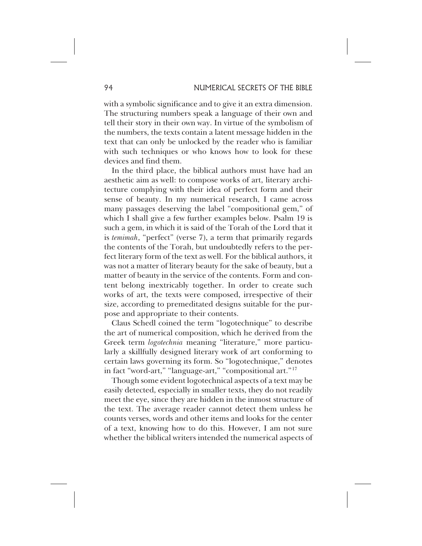with a symbolic significance and to give it an extra dimension. The structuring numbers speak a language of their own and tell their story in their own way. In virtue of the symbolism of the numbers, the texts contain a latent message hidden in the text that can only be unlocked by the reader who is familiar with such techniques or who knows how to look for these devices and find them.

In the third place, the biblical authors must have had an aesthetic aim as well: to compose works of art, literary architecture complying with their idea of perfect form and their sense of beauty. In my numerical research, I came across many passages deserving the label "compositional gem," of which I shall give a few further examples below. Psalm 19 is such a gem, in which it is said of the Torah of the Lord that it is *temimah*, "perfect" (verse 7), a term that primarily regards the contents of the Torah, but undoubtedly refers to the perfect literary form of the text as well. For the biblical authors, it was not a matter of literary beauty for the sake of beauty, but a matter of beauty in the service of the contents. Form and content belong inextricably together. In order to create such works of art, the texts were composed, irrespective of their size, according to premeditated designs suitable for the purpose and appropriate to their contents.

Claus Schedl coined the term "logotechnique" to describe the art of numerical composition, which he derived from the Greek term *logotechnia* meaning "literature," more particularly a skillfully designed literary work of art conforming to certain laws governing its form. So "logotechnique," denotes in fact "word-art," "language-art," "compositional art."<sup>17</sup>

Though some evident logotechnical aspects of a text may be easily detected, especially in smaller texts, they do not readily meet the eye, since they are hidden in the inmost structure of the text. The average reader cannot detect them unless he counts verses, words and other items and looks for the center of a text, knowing how to do this. However, I am not sure whether the biblical writers intended the numerical aspects of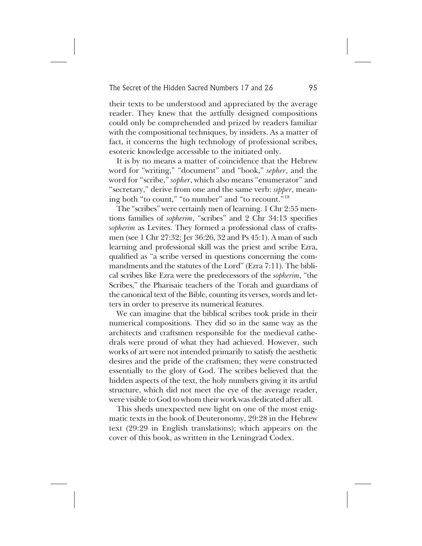their texts to be understood and appreciated by the average reader. They knew that the artfully designed compositions could only be comprehended and prized by readers familiar with the compositional techniques, by insiders. As a matter of fact, it concerns the high technology of professional scribes, esoteric knowledge accessible to the initiated only.

It is by no means a matter of coincidence that the Hebrew word for "writing," "document" and "book," *sepher*, and the word for "scribe," *sopher*, which also means "enumerator" and "secretary," derive from one and the same verb: *sipper*, meaning both "to count," "to number" and "to recount."<sup>18</sup>

The "scribes" were certainly men of learning. 1 Chr 2:55 mentions families of *sopherim*, "scribes" and 2 Chr 34:13 specifies *sopherim* as Levites. They formed a professional class of craftsmen (see 1 Chr 27:32; Jer 36:26, 32 and Ps 45:1). A man of such learning and professional skill was the priest and scribe Ezra, qualified as "a scribe versed in questions concerning the commandments and the statutes of the Lord" (Ezra 7:11). The biblical scribes like Ezra were the predecessors of the *sopherim*, "the Scribes," the Pharisaic teachers of the Torah and guardians of the canonical text of the Bible, counting its verses, words and letters in order to preserve its numerical features.

We can imagine that the biblical scribes took pride in their numerical compositions. They did so in the same way as the architects and craftsmen responsible for the medieval cathedrals were proud of what they had achieved. However, such works of art were not intended primarily to satisfy the aesthetic desires and the pride of the craftsmen; they were constructed essentially to the glory of God. The scribes believed that the hidden aspects of the text, the holy numbers giving it its artful structure, which did not meet the eye of the average reader, were visible to God to whom their work was dedicated after all.

This sheds unexpected new light on one of the most enigmatic texts in the book of Deuteronomy, 29:28 in the Hebrew text (29:29 in English translations); which appears on the cover of this book, as written in the Leningrad Codex.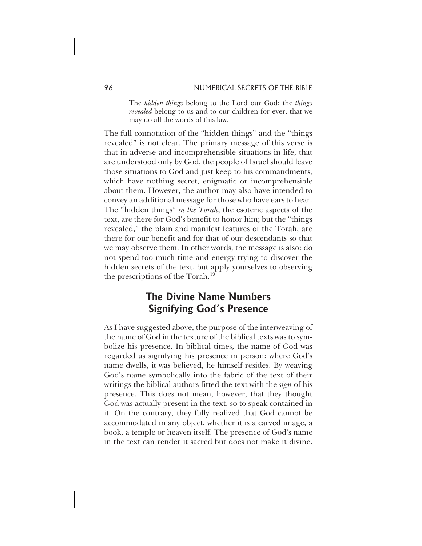The *hidden things* belong to the Lord our God; the *things revealed* belong to us and to our children for ever, that we may do all the words of this law.

The full connotation of the "hidden things" and the "things revealed" is not clear. The primary message of this verse is that in adverse and incomprehensible situations in life, that are understood only by God, the people of Israel should leave those situations to God and just keep to his commandments, which have nothing secret, enigmatic or incomprehensible about them. However, the author may also have intended to convey an additional message for those who have ears to hear. The "hidden things" *in the Torah*, the esoteric aspects of the text, are there for God's benefit to honor him; but the "things revealed," the plain and manifest features of the Torah, are there for our benefit and for that of our descendants so that we may observe them. In other words, the message is also: do not spend too much time and energy trying to discover the hidden secrets of the text, but apply yourselves to observing the prescriptions of the Torah.<sup>19</sup>

### **The Divine Name Numbers Signifying God's Presence**

As I have suggested above, the purpose of the interweaving of the name of God in the texture of the biblical texts was to symbolize his presence. In biblical times, the name of God was regarded as signifying his presence in person: where God's name dwells, it was believed, he himself resides. By weaving God's name symbolically into the fabric of the text of their writings the biblical authors fitted the text with the *sign* of his presence. This does not mean, however, that they thought God was actually present in the text, so to speak contained in it. On the contrary, they fully realized that God cannot be accommodated in any object, whether it is a carved image, a book, a temple or heaven itself. The presence of God's name in the text can render it sacred but does not make it divine.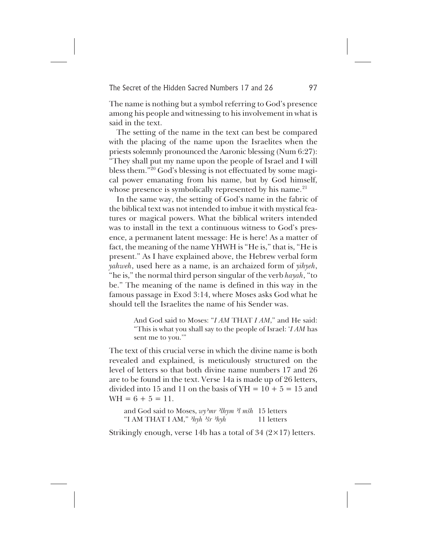The name is nothing but a symbol referring to God's presence among his people and witnessing to his involvement in what is said in the text.

The setting of the name in the text can best be compared with the placing of the name upon the Israelites when the priests solemnly pronounced the Aaronic blessing (Num 6:27): "They shall put my name upon the people of Israel and I will bless them."<sup>20</sup> God's blessing is not effectuated by some magical power emanating from his name, but by God himself, whose presence is symbolically represented by his name.<sup>21</sup>

In the same way, the setting of God's name in the fabric of the biblical text was not intended to imbue it with mystical features or magical powers. What the biblical writers intended was to install in the text a continuous witness to God's presence, a permanent latent message: He is here! As a matter of fact, the meaning of the name YHWH is "He is," that is, "He is present." As I have explained above, the Hebrew verbal form *yahweh*, used here as a name, is an archaized form of *yihyeh*, "he is," the normal third person singular of the verb *hayah*, "to be." The meaning of the name is defined in this way in the famous passage in Exod 3:14, where Moses asks God what he should tell the Israelites the name of his Sender was.

> And God said to Moses: "*I AM* THAT *I AM*," and He said: "This is what you shall say to the people of Israel: '*I AM* has sent me to you.'"

The text of this crucial verse in which the divine name is both revealed and explained, is meticulously structured on the level of letters so that both divine name numbers 17 and 26 are to be found in the text. Verse 14a is made up of 26 letters, divided into 15 and 11 on the basis of  $YH = 10 + 5 = 15$  and  $WH = 6 + 5 = 11.$ 

and God said to Moses,  $wy<sup>2</sup>mr<sup>2</sup>llnym<sup>2</sup>l<sup>m</sup>sm<sup>2</sup>h<sup>2</sup>l<sup>2</sup>l<sup>2</sup>l<sup>2</sup>l<sup>2</sup>l<sup>2</sup>l<sup>2</sup>l<sup>2</sup>l<sup>2</sup>l<sup>2</sup>l<sup>2</sup>l<sup>2</sup>l<sup>2</sup>l<sup>2</sup>l<sup>2</sup>l<sup>2</sup>l<sup>2</sup>l<sup>2</sup>l<sup>2</sup>l<sup>2</sup>$ "I AM THAT I AM,"  $\frac{\partial h}{\partial s} \frac{\partial h}{\partial t}$  <sup>11</sup> letters

Strikingly enough, verse 14b has a total of 34  $(2 \times 17)$  letters.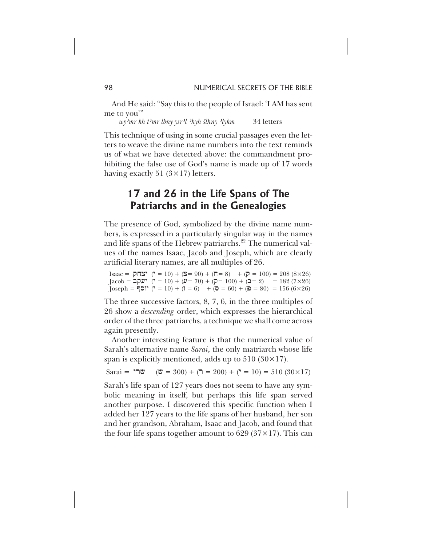And He said: "Say this to the people of Israel: 'I AM has sent me to you'"

*wyamr kh tamr lbny ysral ahyh šliny alykm* 34 letters

This technique of using in some crucial passages even the letters to weave the divine name numbers into the text reminds us of what we have detected above: the commandment prohibiting the false use of God's name is made up of 17 words having exactly 51  $(3\times17)$  letters.

# **17 and 26 in the Life Spans of The Patriarchs and in the Genealogies**

The presence of God, symbolized by the divine name numbers, is expressed in a particularly singular way in the names and life spans of the Hebrew patriarchs.<sup>22</sup> The numerical values of the names Isaac, Jacob and Joseph, which are clearly artificial literary names, are all multiples of 26.

```
Isaac = \overline{p} (Y = 10) + (X= 90) + (\overline{p} = 8) + (\overline{p} = 100) = 208 (8×26)
Jacob = BQ*Y (Y = 10) + (*= 70) + (Q= 100) + (B= 2) = 182 (7×26)
\text{Joseph} = \text{Top} + (\text{Top}) + (\text{Top}) + (\text{Top}) + (\text{Top}) + (\text{Top}) + (\text{Top}) = 156 (6 \times 26)
```
The three successive factors, 8, 7, 6, in the three multiples of 26 show a *descending* order, which expresses the hierarchical order of the three patriarchs, a technique we shall come across again presently.

Another interesting feature is that the numerical value of Sarah's alternative name *Sarai*, the only matriarch whose life span is explicitly mentioned, adds up to  $510 (30 \times 17)$ .

Sarai =  $\mathbf{W} = 300 + (7 - 200) + (7 - 10) = 510 (30 \times 17)$ 

Sarah's life span of 127 years does not seem to have any symbolic meaning in itself, but perhaps this life span served another purpose. I discovered this specific function when I added her 127 years to the life spans of her husband, her son and her grandson, Abraham, Isaac and Jacob, and found that the four life spans together amount to  $629 (37 \times 17)$ . This can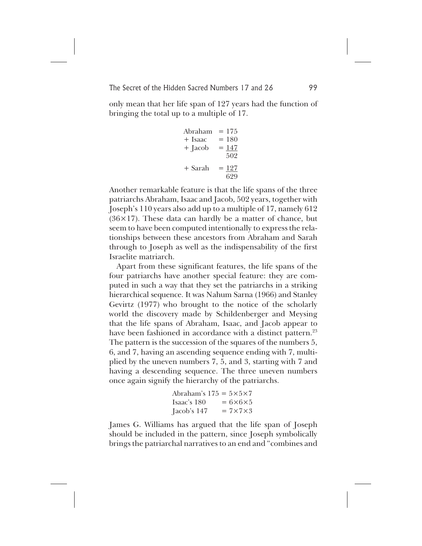only mean that her life span of 127 years had the function of bringing the total up to a multiple of 17.

Abraham = 175 + Isaac = 180 + Jacob = 147 502 + Sarah = 127 629

Another remarkable feature is that the life spans of the three patriarchs Abraham, Isaac and Jacob, 502 years, together with Joseph's 110 years also add up to a multiple of 17, namely 612  $(36\times17)$ . These data can hardly be a matter of chance, but seem to have been computed intentionally to express the relationships between these ancestors from Abraham and Sarah through to Joseph as well as the indispensability of the first Israelite matriarch.

Apart from these significant features, the life spans of the four patriarchs have another special feature: they are computed in such a way that they set the patriarchs in a striking hierarchical sequence. It was Nahum Sarna (1966) and Stanley Gevirtz (1977) who brought to the notice of the scholarly world the discovery made by Schildenberger and Meysing that the life spans of Abraham, Isaac, and Jacob appear to have been fashioned in accordance with a distinct pattern.<sup>23</sup> The pattern is the succession of the squares of the numbers 5, 6, and 7, having an ascending sequence ending with 7, multiplied by the uneven numbers 7, 5, and 3, starting with 7 and having a descending sequence. The three uneven numbers once again signify the hierarchy of the patriarchs.

Abraham's 
$$
175 = 5 \times 5 \times 7
$$

\nIsaac's  $180 = 6 \times 6 \times 5$ 

\nJacob's  $147 = 7 \times 7 \times 3$ 

James G. Williams has argued that the life span of Joseph should be included in the pattern, since Joseph symbolically brings the patriarchal narratives to an end and "combines and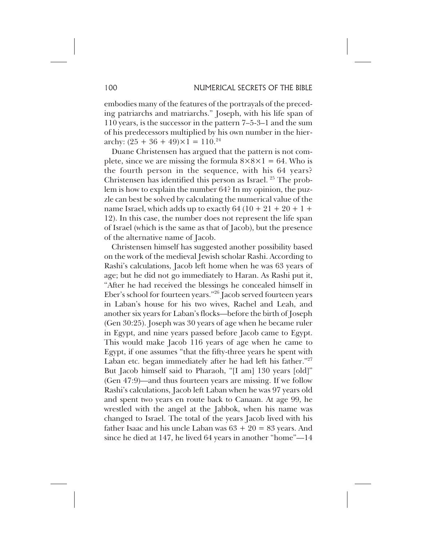embodies many of the features of the portrayals of the preceding patriarchs and matriarchs." Joseph, with his life span of 110 years, is the successor in the pattern 7–5-3–1 and the sum of his predecessors multiplied by his own number in the hierarchy:  $(25 + 36 + 49) \times 1 = 110^{24}$ 

Duane Christensen has argued that the pattern is not complete, since we are missing the formula  $8 \times 8 \times 1 = 64$ . Who is the fourth person in the sequence, with his 64 years? Christensen has identified this person as Israel. <sup>25</sup> The problem is how to explain the number 64? In my opinion, the puzzle can best be solved by calculating the numerical value of the name Israel, which adds up to exactly  $64 (10 + 21 + 20 + 1 +$ 12). In this case, the number does not represent the life span of Israel (which is the same as that of Jacob), but the presence of the alternative name of Jacob.

Christensen himself has suggested another possibility based on the work of the medieval Jewish scholar Rashi. According to Rashi's calculations, Jacob left home when he was 63 years of age; but he did not go immediately to Haran. As Rashi put it, "After he had received the blessings he concealed himself in Eber's school for fourteen years."26 Jacob served fourteen years in Laban's house for his two wives, Rachel and Leah, and another six years for Laban's flocks—before the birth of Joseph (Gen 30:25). Joseph was 30 years of age when he became ruler in Egypt, and nine years passed before Jacob came to Egypt. This would make Jacob 116 years of age when he came to Egypt, if one assumes "that the fifty-three years he spent with Laban etc. began immediately after he had left his father."<sup>27</sup> But Jacob himself said to Pharaoh, "[I am] 130 years [old]" (Gen 47:9)—and thus fourteen years are missing. If we follow Rashi's calculations, Jacob left Laban when he was 97 years old and spent two years en route back to Canaan. At age 99, he wrestled with the angel at the Jabbok, when his name was changed to Israel. The total of the years Jacob lived with his father Isaac and his uncle Laban was  $63 + 20 = 83$  years. And since he died at 147, he lived 64 years in another "home"—14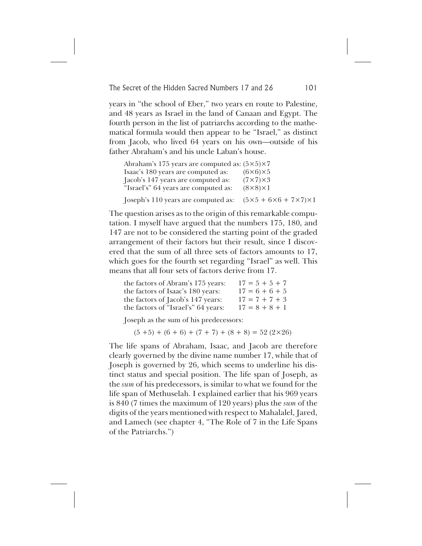years in "the school of Eber," two years en route to Palestine, and 48 years as Israel in the land of Canaan and Egypt. The fourth person in the list of patriarchs according to the mathematical formula would then appear to be "Israel," as distinct from Jacob, who lived 64 years on his own—outside of his father Abraham's and his uncle Laban's house.

| Abraham's 175 years are computed as: $(5 \times 5) \times 7$ |                                                   |
|--------------------------------------------------------------|---------------------------------------------------|
| Isaac's 180 years are computed as:                           | $(6\times6)\times5$                               |
| Jacob's 147 years are computed as:                           | $(7\times7)\times3$                               |
| "Israel's" 64 years are computed as:                         | $(8\times8)\times1$                               |
| Joseph's 110 years are computed as:                          | $(5 \times 5 + 6 \times 6 + 7 \times 7) \times 1$ |

The question arises as to the origin of this remarkable computation. I myself have argued that the numbers 175, 180, and 147 are not to be considered the starting point of the graded arrangement of their factors but their result, since I discovered that the sum of all three sets of factors amounts to 17, which goes for the fourth set regarding "Israel" as well. This means that all four sets of factors derive from 17.

| the factors of Abram's 175 years:   | $17 = 5 + 5 + 7$ |
|-------------------------------------|------------------|
| the factors of Isaac's 180 years:   | $17 = 6 + 6 + 5$ |
| the factors of Jacob's 147 years:   | $17 = 7 + 7 + 3$ |
| the factors of "Israel's" 64 years: | $17 = 8 + 8 + 1$ |

Joseph as the sum of his predecessors:

 $(5 + 5) + (6 + 6) + (7 + 7) + (8 + 8) = 52 (2 \times 26)$ 

The life spans of Abraham, Isaac, and Jacob are therefore clearly governed by the divine name number 17, while that of Joseph is governed by 26, which seems to underline his distinct status and special position. The life span of Joseph, as the *sum* of his predecessors, is similar to what we found for the life span of Methuselah. I explained earlier that his 969 years is 840 (7 times the maximum of 120 years) plus the *sum* of the digits of the years mentioned with respect to Mahalalel, Jared, and Lamech (see chapter 4, "The Role of 7 in the Life Spans of the Patriarchs.")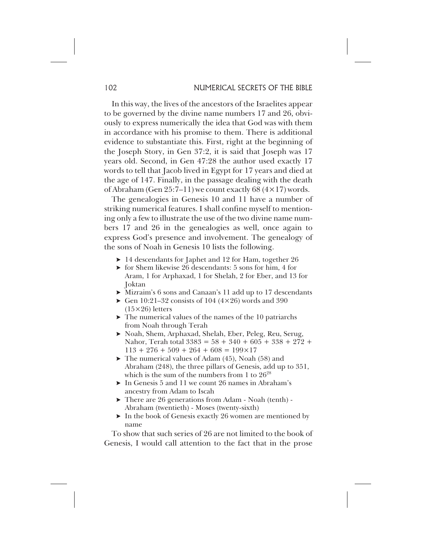In this way, the lives of the ancestors of the Israelites appear to be governed by the divine name numbers 17 and 26, obviously to express numerically the idea that God was with them in accordance with his promise to them. There is additional evidence to substantiate this. First, right at the beginning of the Joseph Story, in Gen 37:2, it is said that Joseph was 17 years old. Second, in Gen 47:28 the author used exactly 17 words to tell that Jacob lived in Egypt for 17 years and died at the age of 147. Finally, in the passage dealing with the death of Abraham (Gen  $25:7-11$ ) we count exactly 68 (4 $\times$ 17) words.

The genealogies in Genesis 10 and 11 have a number of striking numerical features. I shall confine myself to mentioning only a few to illustrate the use of the two divine name numbers 17 and 26 in the genealogies as well, once again to express God's presence and involvement. The genealogy of the sons of Noah in Genesis 10 lists the following.

- ▶ 14 descendants for Japhet and 12 for Ham, together 26
- $\triangleright$  for Shem likewise 26 descendants: 5 sons for him, 4 for Aram, 1 for Arphaxad, 1 for Shelah, 2 for Eber, and 13 for Joktan
- Mizraim's 6 sons and Canaan's 11 add up to 17 descendants
- Gen  $10:21-32$  consists of 104 (4×26) words and 390  $(15\times26)$  letters
- $\blacktriangleright$  The numerical values of the names of the 10 patriarchs from Noah through Terah
- Noah, Shem, Arphaxad, Shelah, Eber, Peleg, Reu, Serug, Nahor, Terah total  $3383 = 58 + 340 + 605 + 338 + 272 +$  $113 + 276 + 509 + 264 + 608 = 199 \times 17$
- ▶ The numerical values of Adam (45), Noah (58) and Abraham (248), the three pillars of Genesis, add up to 351, which is the sum of the numbers from 1 to  $26^{28}$
- In Genesis 5 and 11 we count 26 names in Abraham's ancestry from Adam to Iscah
- There are 26 generations from Adam Noah (tenth) Abraham (twentieth) - Moses (twenty-sixth)
- $\blacktriangleright$  In the book of Genesis exactly 26 women are mentioned by name

To show that such series of 26 are not limited to the book of Genesis, I would call attention to the fact that in the prose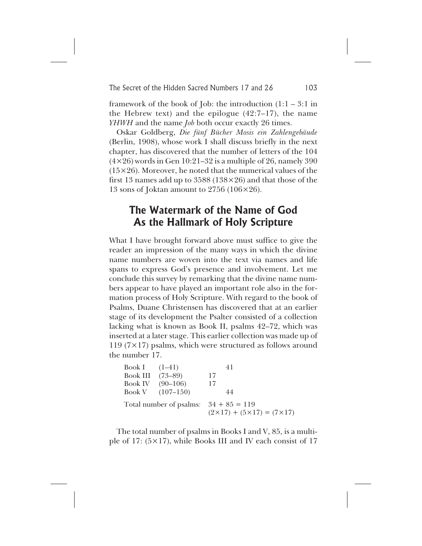framework of the book of Job: the introduction  $(1:1 - 3:1)$  in the Hebrew text) and the epilogue (42:7–17), the name *YHWH* and the name *Job* both occur exactly 26 times.

Oskar Goldberg, *Die fünf Bücher Mosis ein Zahlengebäude* (Berlin, 1908), whose work I shall discuss briefly in the next chapter, has discovered that the number of letters of the 104  $(4\times26)$  words in Gen 10:21–32 is a multiple of 26, namely 390  $(15\times26)$ . Moreover, he noted that the numerical values of the first 13 names add up to  $3588$  (138 $\times$ 26) and that those of the 13 sons of Joktan amount to  $2756$  (106 $\times$ 26).

# **The Watermark of the Name of God As the Hallmark of Holy Scripture**

What I have brought forward above must suffice to give the reader an impression of the many ways in which the divine name numbers are woven into the text via names and life spans to express God's presence and involvement. Let me conclude this survey by remarking that the divine name numbers appear to have played an important role also in the formation process of Holy Scripture. With regard to the book of Psalms, Duane Christensen has discovered that at an earlier stage of its development the Psalter consisted of a collection lacking what is known as Book II, psalms 42–72, which was inserted at a later stage. This earlier collection was made up of  $119 (7 \times 17)$  psalms, which were structured as follows around the number 17.

Book I  $(1-41)$  41 Book III (73–89) 17 Book IV (90–106) 17 Book V (107–150) 44 Total number of psalms:  $34 + 85 = 119$  $(2\times17) + (5\times17) = (7\times17)$ 

The total number of psalms in Books I and V, 85, is a multiple of 17:  $(5 \times 17)$ , while Books III and IV each consist of 17